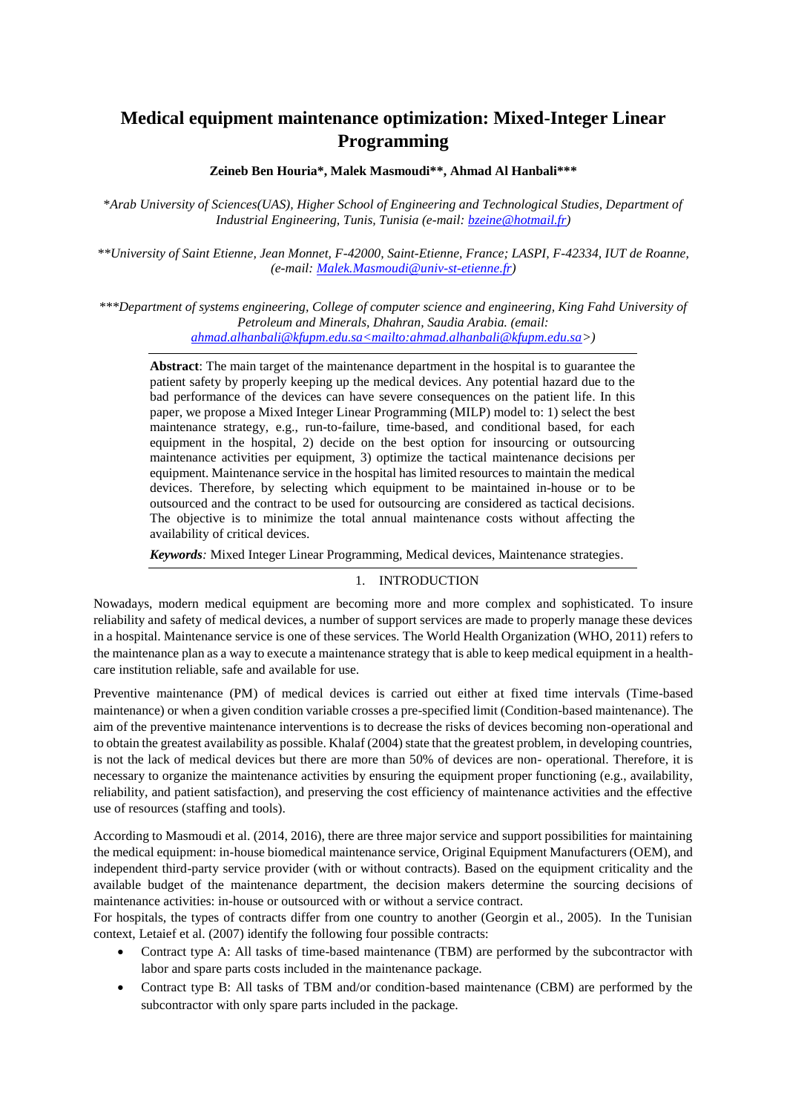# **Medical equipment maintenance optimization: Mixed-Integer Linear Programming**

**Zeineb Ben Houria\*, Malek Masmoudi\*\*, Ahmad Al Hanbali\*\*\***

\**Arab University of Sciences(UAS), Higher School of Engineering and Technological Studies, Department of Industrial Engineering, Tunis, Tunisia (e-mail: [bzeine@hotmail.fr\)](mailto:bzeine@hotmail.fr)*

*\*\*University of Saint Etienne, Jean Monnet, F-42000, Saint-Etienne, France; LASPI, F-42334, IUT de Roanne, (e-mail[: Malek.Masmoudi@univ-st-etienne.fr\)](mailto:Malek.Masmoudi@univ-st-etienne.fr)* 

*\*\*\*Department of systems engineering, College of computer science and engineering, King Fahd University of Petroleum and Minerals, Dhahran, Saudia Arabia. (email: [ahmad.alhanbali@kfupm.edu.sa<mailto:ahmad.alhanbali@kfupm.edu.sa>](mailto:ahmad.alhanbali@kfupm.edu.sa%3Cmailto:ahmad.alhanbali@kfupm.edu.sa))*

**Abstract**: The main target of the maintenance department in the hospital is to guarantee the patient safety by properly keeping up the medical devices. Any potential hazard due to the bad performance of the devices can have severe consequences on the patient life. In this paper, we propose a Mixed Integer Linear Programming (MILP) model to: 1) select the best maintenance strategy, e.g., run-to-failure, time-based, and conditional based, for each equipment in the hospital, 2) decide on the best option for insourcing or outsourcing maintenance activities per equipment, 3) optimize the tactical maintenance decisions per equipment. Maintenance service in the hospital has limited resources to maintain the medical devices. Therefore, by selecting which equipment to be maintained in-house or to be outsourced and the contract to be used for outsourcing are considered as tactical decisions. The objective is to minimize the total annual maintenance costs without affecting the availability of critical devices.

*Keywords:* Mixed Integer Linear Programming, Medical devices, Maintenance strategies.

#### 1. INTRODUCTION

Nowadays, modern medical equipment are becoming more and more complex and sophisticated. To insure reliability and safety of medical devices, a number of support services are made to properly manage these devices in a hospital. Maintenance service is one of these services. The World Health Organization (WHO, 2011) refers to the maintenance plan as a way to execute a maintenance strategy that is able to keep medical equipment in a healthcare institution reliable, safe and available for use.

Preventive maintenance (PM) of medical devices is carried out either at fixed time intervals (Time-based maintenance) or when a given condition variable crosses a pre-specified limit (Condition-based maintenance). The aim of the preventive maintenance interventions is to decrease the risks of devices becoming non-operational and to obtain the greatest availability as possible. Khalaf (2004) state that the greatest problem, in developing countries, is not the lack of medical devices but there are more than 50% of devices are non- operational. Therefore, it is necessary to organize the maintenance activities by ensuring the equipment proper functioning (e.g., availability, reliability, and patient satisfaction), and preserving the cost efficiency of maintenance activities and the effective use of resources (staffing and tools).

According to Masmoudi et al. (2014, 2016), there are three major service and support possibilities for maintaining the medical equipment: in-house biomedical maintenance service, Original Equipment Manufacturers (OEM), and independent third-party service provider (with or without contracts). Based on the equipment criticality and the available budget of the maintenance department, the decision makers determine the sourcing decisions of maintenance activities: in-house or outsourced with or without a service contract.

For hospitals, the types of contracts differ from one country to another (Georgin et al., 2005). In the Tunisian context, Letaief et al. (2007) identify the following four possible contracts:

- Contract type A: All tasks of time-based maintenance (TBM) are performed by the subcontractor with labor and spare parts costs included in the maintenance package.
- Contract type B: All tasks of TBM and/or condition-based maintenance (CBM) are performed by the subcontractor with only spare parts included in the package.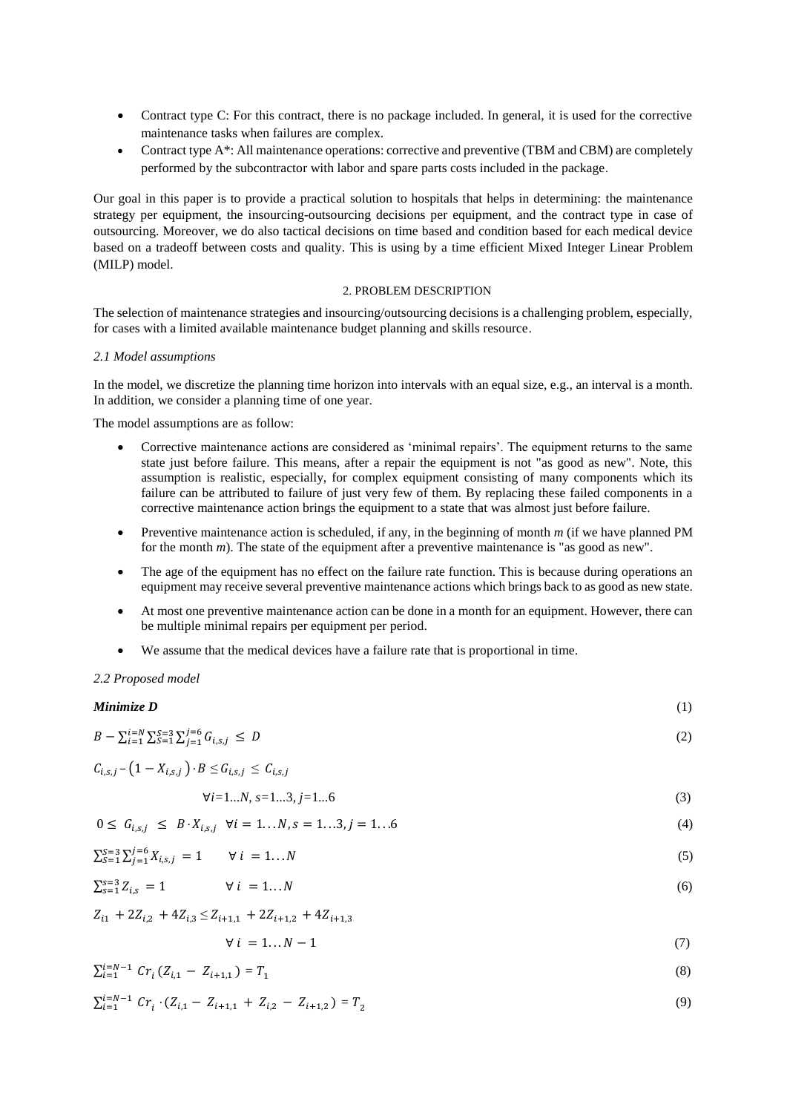- Contract type C: For this contract, there is no package included. In general, it is used for the corrective maintenance tasks when failures are complex.
- Contract type A\*: All maintenance operations: corrective and preventive (TBM and CBM) are completely performed by the subcontractor with labor and spare parts costs included in the package.

Our goal in this paper is to provide a practical solution to hospitals that helps in determining: the maintenance strategy per equipment, the insourcing-outsourcing decisions per equipment, and the contract type in case of outsourcing. Moreover, we do also tactical decisions on time based and condition based for each medical device based on a tradeoff between costs and quality. This is using by a time efficient Mixed Integer Linear Problem (MILP) model.

## 2. PROBLEM DESCRIPTION

The selection of maintenance strategies and insourcing/outsourcing decisions is a challenging problem, especially, for cases with a limited available maintenance budget planning and skills resource.

# *2.1 Model assumptions*

In the model, we discretize the planning time horizon into intervals with an equal size, e.g., an interval is a month. In addition, we consider a planning time of one year.

The model assumptions are as follow:

- Corrective maintenance actions are considered as 'minimal repairs'. The equipment returns to the same state just before failure. This means, after a repair the equipment is not "as good as new". Note, this assumption is realistic, especially, for complex equipment consisting of many components which its failure can be attributed to failure of just very few of them. By replacing these failed components in a corrective maintenance action brings the equipment to a state that was almost just before failure.
- **•** Preventive maintenance action is scheduled, if any, in the beginning of month  $m$  (if we have planned PM for the month *m*). The state of the equipment after a preventive maintenance is "as good as new".
- The age of the equipment has no effect on the failure rate function. This is because during operations an equipment may receive several preventive maintenance actions which brings back to as good as new state.
- At most one preventive maintenance action can be done in a month for an equipment. However, there can be multiple minimal repairs per equipment per period.
- We assume that the medical devices have a failure rate that is proportional in time.

#### *2.2 Proposed model*

#### *Minimize D* (1)

$$
R = \nabla^{i=N} \nabla^{S=3} \nabla^{j=6} C, \quad S = 0
$$

$$
B - \sum_{i=1}^{i=N} \sum_{S=1}^{S=3} \sum_{j=1}^{j=6} G_{i,s,j} \le D \tag{2}
$$

$$
C_{i,s,j} - (1 - X_{i,s,j}) \cdot B \le G_{i,s,j} \le C_{i,s,j}
$$

$$
\forall i=1...N, s=1...3, j=1...6
$$
\n(3)

$$
0 \le G_{i,s,j} \le B \cdot X_{i,s,j} \quad \forall i = 1...N, s = 1...3, j = 1...6 \tag{4}
$$

$$
\sum_{s=1}^{S=3} \sum_{j=1}^{j=6} X_{i,s,j} = 1 \qquad \forall \ i = 1...N \tag{5}
$$

$$
\sum_{s=1}^{s=3} Z_{i,s} = 1 \qquad \forall \ i = 1...N \tag{6}
$$

 $Z_{i1} + 2Z_{i2} + 4Z_{i3} \leq Z_{i+1,1} + 2Z_{i+1,2} + 4Z_{i+1,3}$ 

 $\forall i = 1...N-1$  (7)

$$
\sum_{i=1}^{i=N-1} Cr_i (Z_{i,1} - Z_{i+1,1}) = T_1
$$
\n(8)

 $\sum_{i=1}^{i=N-1} Cr_i \cdot (Z_{i,1} - Z_{i+1,1} + Z_{i,2} - Z_{i+1,2}) = T_2$ (9)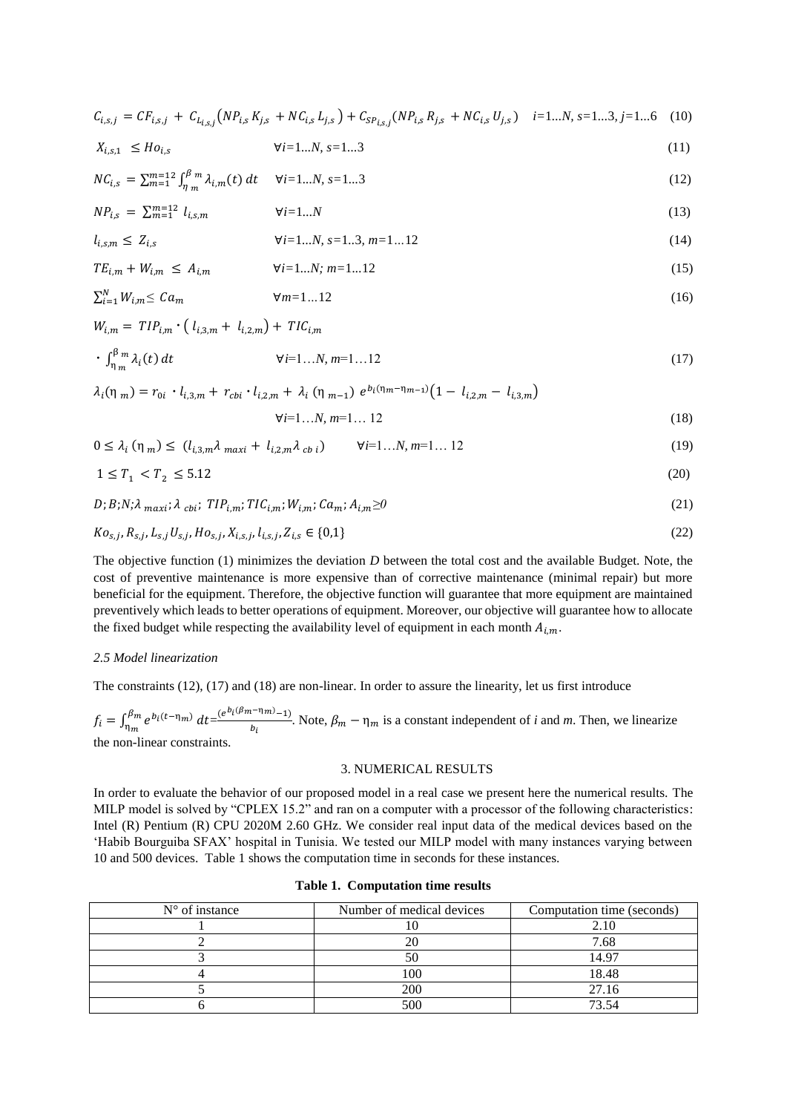$$
C_{i,s,j} = CF_{i,s,j} + C_{L_{i,s,j}} \left( NP_{i,s} K_{j,s} + NC_{i,s} L_{j,s} \right) + C_{SP_{i,s,j}} \left( NP_{i,s} R_{j,s} + NC_{i,s} U_{j,s} \right) \quad i=1...N, s=1...3, j=1...6 \quad (10)
$$

$$
X_{i,s,1} \le Ho_{i,s} \qquad \forall i=1...N, s=1...3 \tag{11}
$$

$$
NC_{i,s} = \sum_{m=1}^{m=12} \int_{\eta_m}^{\beta_m} \lambda_{i,m}(t) dt \quad \forall i=1...N, s=1...3
$$
 (12)

$$
NP_{i,s} = \sum_{m=1}^{m=12} l_{i,s,m} \qquad \forall i=1...N \qquad (13)
$$

$$
l_{i,s,m} \le Z_{i,s} \qquad \forall i=1...N, s=1...3, m=1...12 \qquad (14)
$$

$$
TE_{i,m} + W_{i,m} \le A_{i,m} \qquad \forall i=1...N; m=1...12
$$
 (15)

$$
\sum_{i=1}^{N} W_{i,m} \leq C a_m \qquad \qquad \forall m=1...12 \qquad (16)
$$

$$
W_{i,m} = TIP_{i,m} \cdot (l_{i,3,m} + l_{i,2,m}) + TIC_{i,m}
$$

$$
\cdot \int_{\eta_m}^{\beta_m} \lambda_i(t) \, dt \qquad \forall i=1...N, m=1...12 \tag{17}
$$

 $\lambda_i(\eta_m) = r_{0i} \cdot l_{i,3,m} + r_{cbi} \cdot l_{i,2,m} + \lambda_i (\eta_{m-1}) e^{b_i(\eta_m - \eta_{m-1})} (1 - l_{i,2,m} - l_{i,3,m})$ 

$$
\forall i=1...N, m=1...12
$$
 (18)

$$
0 \le \lambda_i \left( \eta_m \right) \le \left( l_{i,3,m} \lambda_{\text{max}} + l_{i,2,m} \lambda_{\text{cb}} \right) \qquad \forall i=1...N, m=1...12 \tag{19}
$$

$$
1 \leq T_1 < T_2 \leq 5.12\tag{20}
$$

$$
D; B; N; \lambda_{maxi}; \lambda_{chii}; TIP_{i,m}; TIC_{i,m}; W_{i,m}; Ca_{m}; A_{i,m} \ge 0
$$
\n
$$
(21)
$$

$$
Ko_{s,j}, R_{s,j}, L_{s,j}U_{s,j}, Ho_{s,j}, X_{i,s,j}, l_{i,s,j}, Z_{i,s} \in \{0,1\}
$$
 (22)

The objective function (1) minimizes the deviation *D* between the total cost and the available Budget. Note, the cost of preventive maintenance is more expensive than of corrective maintenance (minimal repair) but more beneficial for the equipment. Therefore, the objective function will guarantee that more equipment are maintained preventively which leads to better operations of equipment. Moreover, our objective will guarantee how to allocate the fixed budget while respecting the availability level of equipment in each month  $A_{i,m}$ .

# *2.5 Model linearization*

The constraints (12), (17) and (18) are non-linear. In order to assure the linearity, let us first introduce

 $f_i = \int_{\eta_m}^{\beta_m} e^{b_i(t-\eta_m)} dt = \frac{(e^{b_i(\beta_m - \eta_m)} - 1)}{b_i}$  $\frac{n_{m-1}}{b_i}$ . Note,  $\beta_m - \eta_m$  is a constant independent of *i* and *m*. Then, we linearize the non-linear constraints.

#### 3. NUMERICAL RESULTS

In order to evaluate the behavior of our proposed model in a real case we present here the numerical results. The MILP model is solved by "CPLEX 15.2" and ran on a computer with a processor of the following characteristics: Intel (R) Pentium (R) CPU 2020M 2.60 GHz. We consider real input data of the medical devices based on the 'Habib Bourguiba SFAX' hospital in Tunisia. We tested our MILP model with many instances varying between 10 and 500 devices. Table 1 shows the computation time in seconds for these instances.

| $N^{\circ}$ of instance | Number of medical devices | Computation time (seconds) |  |  |  |
|-------------------------|---------------------------|----------------------------|--|--|--|
|                         |                           | 2.10                       |  |  |  |
|                         |                           | 7.68                       |  |  |  |
|                         |                           | 14.97                      |  |  |  |
|                         | 100                       | 18.48                      |  |  |  |
|                         | 200                       | 27.16                      |  |  |  |
|                         | 500                       | 73.54                      |  |  |  |

**Table 1. Computation time results**